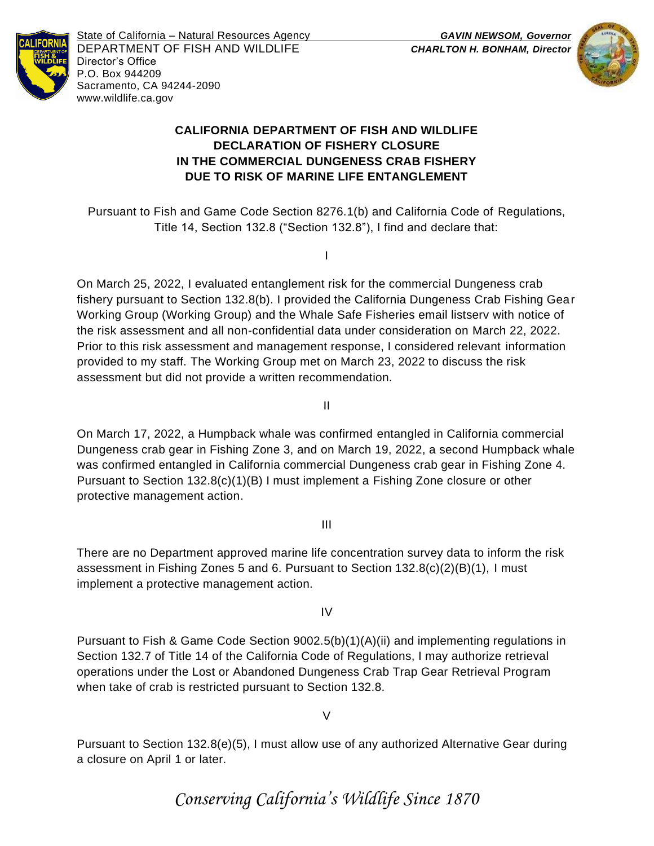

State of California – Natural Resources Agency *GAVIN NEWSOM, Governor* DEPARTMENT OF FISH AND WILDLIFE *CHARLTON H. BONHAM, Director* Director's Office P.O. Box 944209 Sacramento, CA 94244-2090 www.wildlife.ca.gov



## **CALIFORNIA DEPARTMENT OF FISH AND WILDLIFE DECLARATION OF FISHERY CLOSURE IN THE COMMERCIAL DUNGENESS CRAB FISHERY DUE TO RISK OF MARINE LIFE ENTANGLEMENT**

Pursuant to Fish and Game Code Section 8276.1(b) and California Code of Regulations, Title 14, Section 132.8 ("Section 132.8"), I find and declare that:

I

On March 25, 2022, I evaluated entanglement risk for the commercial Dungeness crab fishery pursuant to Section 132.8(b). I provided the California Dungeness Crab Fishing Gear Working Group (Working Group) and the Whale Safe Fisheries email listserv with notice of the risk assessment and all non-confidential data under consideration on March 22, 2022. Prior to this risk assessment and management response, I considered relevant information provided to my staff. The Working Group met on March 23, 2022 to discuss the risk assessment but did not provide a written recommendation.

II

On March 17, 2022, a Humpback whale was confirmed entangled in California commercial Dungeness crab gear in Fishing Zone 3, and on March 19, 2022, a second Humpback whale was confirmed entangled in California commercial Dungeness crab gear in Fishing Zone 4. Pursuant to Section 132.8(c)(1)(B) I must implement a Fishing Zone closure or other protective management action.

## III

There are no Department approved marine life concentration survey data to inform the risk assessment in Fishing Zones 5 and 6. Pursuant to Section 132.8(c)(2)(B)(1), I must implement a protective management action.

IV

Pursuant to Fish & Game Code Section 9002.5(b)(1)(A)(ii) and implementing regulations in Section 132.7 of Title 14 of the California Code of Regulations, I may authorize retrieval operations under the Lost or Abandoned Dungeness Crab Trap Gear Retrieval Program when take of crab is restricted pursuant to Section 132.8.

 $\overline{V}$ 

Pursuant to Section 132.8(e)(5), I must allow use of any authorized Alternative Gear during a closure on April 1 or later.

*Conserving California's Wildlife Since 1870*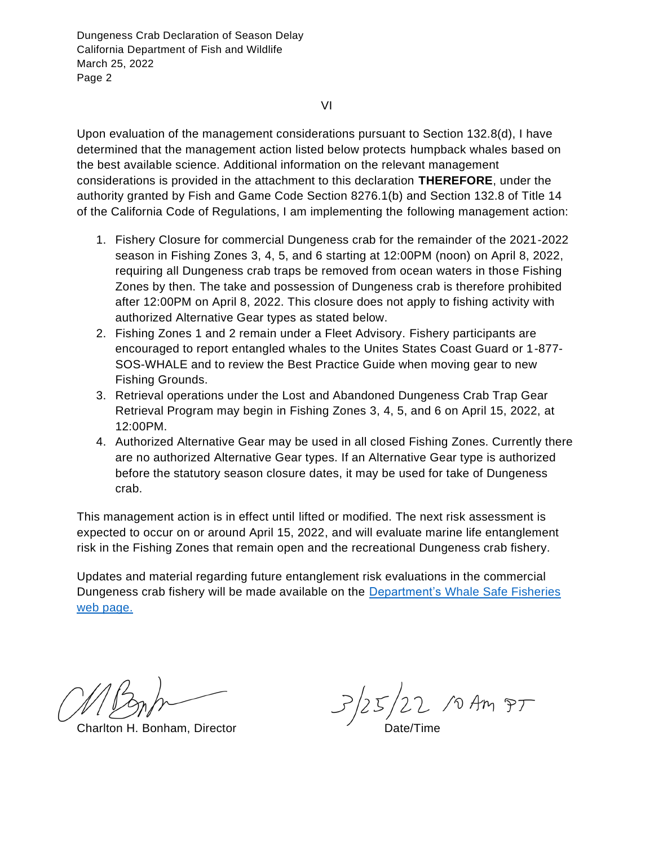VI

Upon evaluation of the management considerations pursuant to Section 132.8(d), I have determined that the management action listed below protects humpback whales based on the best available science. Additional information on the relevant management considerations is provided in the attachment to this declaration **THEREFORE**, under the authority granted by Fish and Game Code Section 8276.1(b) and Section 132.8 of Title 14 of the California Code of Regulations, I am implementing the following management action:

- 1. Fishery Closure for commercial Dungeness crab for the remainder of the 2021-2022 season in Fishing Zones 3, 4, 5, and 6 starting at 12:00PM (noon) on April 8, 2022, requiring all Dungeness crab traps be removed from ocean waters in those Fishing Zones by then. The take and possession of Dungeness crab is therefore prohibited after 12:00PM on April 8, 2022. This closure does not apply to fishing activity with authorized Alternative Gear types as stated below.
- 2. Fishing Zones 1 and 2 remain under a Fleet Advisory. Fishery participants are encouraged to report entangled whales to the Unites States Coast Guard or 1-877- SOS-WHALE and to review the Best Practice Guide when moving gear to new Fishing Grounds.
- 3. Retrieval operations under the Lost and Abandoned Dungeness Crab Trap Gear Retrieval Program may begin in Fishing Zones 3, 4, 5, and 6 on April 15, 2022, at 12:00PM.
- 4. Authorized Alternative Gear may be used in all closed Fishing Zones. Currently there are no authorized Alternative Gear types. If an Alternative Gear type is authorized before the statutory season closure dates, it may be used for take of Dungeness crab.

This management action is in effect until lifted or modified. The next risk assessment is expected to occur on or around April 15, 2022, and will evaluate marine life entanglement risk in the Fishing Zones that remain open and the recreational Dungeness crab fishery.

Updates and material regarding future entanglement risk evaluations in the commercial Dungeness crab fishery will be made available on the Department's [Whale Safe Fisheries](http://www.wildlife.ca.gov/Conservation/Marine/Whale-Safe-Fisheries) [web page.](http://www.wildlife.ca.gov/Conservation/Marine/Whale-Safe-Fisheries)

 $\frac{1}{2\pi}$   $\frac{1}{2\pi}$   $\frac{1}{2\pi}$  /0 Am  $\frac{1}{2\pi}$  Charlton H. Bonham, Director Date/Time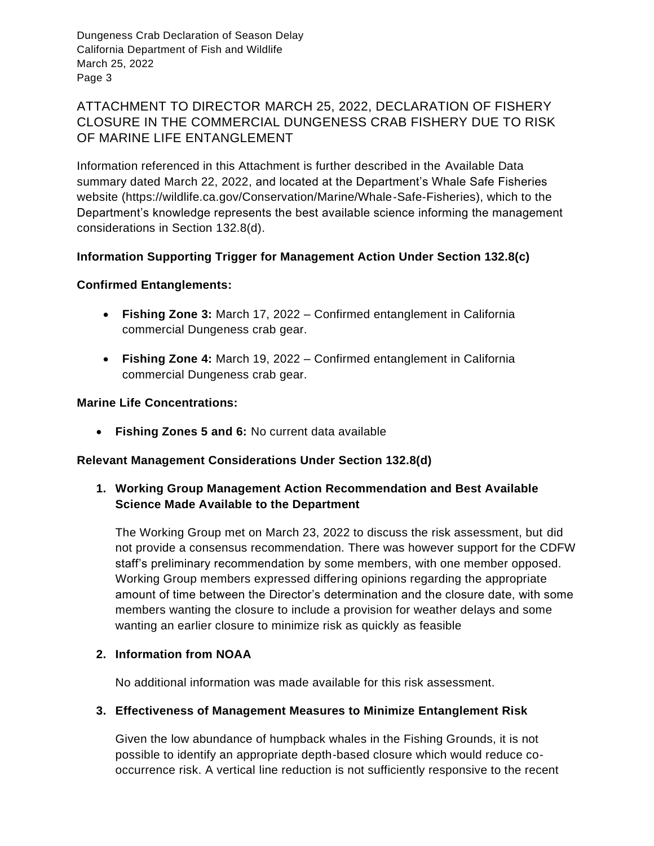# ATTACHMENT TO DIRECTOR MARCH 25, 2022, DECLARATION OF FISHERY CLOSURE IN THE COMMERCIAL DUNGENESS CRAB FISHERY DUE TO RISK OF MARINE LIFE ENTANGLEMENT

Information referenced in this Attachment is further described in the Available Data summary dated March 22, 2022, and located at the Department's Whale Safe Fisheries website (https://wildlife.ca.gov/Conservation/Marine/Whale-Safe-Fisheries), which to the Department's knowledge represents the best available science informing the management considerations in Section 132.8(d).

## **Information Supporting Trigger for Management Action Under Section 132.8(c)**

## **Confirmed Entanglements:**

- **Fishing Zone 3:** March 17, 2022 Confirmed entanglement in California commercial Dungeness crab gear.
- **Fishing Zone 4:** March 19, 2022 Confirmed entanglement in California commercial Dungeness crab gear.

### **Marine Life Concentrations:**

• **Fishing Zones 5 and 6:** No current data available

### **Relevant Management Considerations Under Section 132.8(d)**

**1. Working Group Management Action Recommendation and Best Available Science Made Available to the Department**

The Working Group met on March 23, 2022 to discuss the risk assessment, but did not provide a consensus recommendation. There was however support for the CDFW staff's preliminary recommendation by some members, with one member opposed. Working Group members expressed differing opinions regarding the appropriate amount of time between the Director's determination and the closure date, with some members wanting the closure to include a provision for weather delays and some wanting an earlier closure to minimize risk as quickly as feasible

### **2. Information from NOAA**

No additional information was made available for this risk assessment.

### **3. Effectiveness of Management Measures to Minimize Entanglement Risk**

Given the low abundance of humpback whales in the Fishing Grounds, it is not possible to identify an appropriate depth-based closure which would reduce cooccurrence risk. A vertical line reduction is not sufficiently responsive to the recent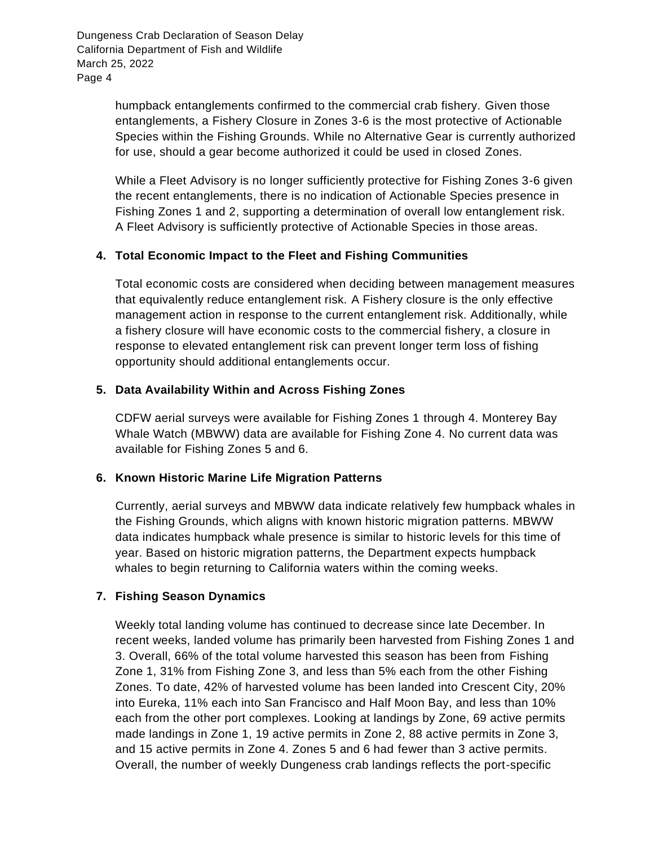> humpback entanglements confirmed to the commercial crab fishery. Given those entanglements, a Fishery Closure in Zones 3-6 is the most protective of Actionable Species within the Fishing Grounds. While no Alternative Gear is currently authorized for use, should a gear become authorized it could be used in closed Zones.

> While a Fleet Advisory is no longer sufficiently protective for Fishing Zones 3-6 given the recent entanglements, there is no indication of Actionable Species presence in Fishing Zones 1 and 2, supporting a determination of overall low entanglement risk. A Fleet Advisory is sufficiently protective of Actionable Species in those areas.

### **4. Total Economic Impact to the Fleet and Fishing Communities**

Total economic costs are considered when deciding between management measures that equivalently reduce entanglement risk. A Fishery closure is the only effective management action in response to the current entanglement risk. Additionally, while a fishery closure will have economic costs to the commercial fishery, a closure in response to elevated entanglement risk can prevent longer term loss of fishing opportunity should additional entanglements occur.

#### **5. Data Availability Within and Across Fishing Zones**

CDFW aerial surveys were available for Fishing Zones 1 through 4. Monterey Bay Whale Watch (MBWW) data are available for Fishing Zone 4. No current data was available for Fishing Zones 5 and 6.

#### **6. Known Historic Marine Life Migration Patterns**

Currently, aerial surveys and MBWW data indicate relatively few humpback whales in the Fishing Grounds, which aligns with known historic migration patterns. MBWW data indicates humpback whale presence is similar to historic levels for this time of year. Based on historic migration patterns, the Department expects humpback whales to begin returning to California waters within the coming weeks.

### **7. Fishing Season Dynamics**

Weekly total landing volume has continued to decrease since late December. In recent weeks, landed volume has primarily been harvested from Fishing Zones 1 and 3. Overall, 66% of the total volume harvested this season has been from Fishing Zone 1, 31% from Fishing Zone 3, and less than 5% each from the other Fishing Zones. To date, 42% of harvested volume has been landed into Crescent City, 20% into Eureka, 11% each into San Francisco and Half Moon Bay, and less than 10% each from the other port complexes. Looking at landings by Zone, 69 active permits made landings in Zone 1, 19 active permits in Zone 2, 88 active permits in Zone 3, and 15 active permits in Zone 4. Zones 5 and 6 had fewer than 3 active permits. Overall, the number of weekly Dungeness crab landings reflects the port-specific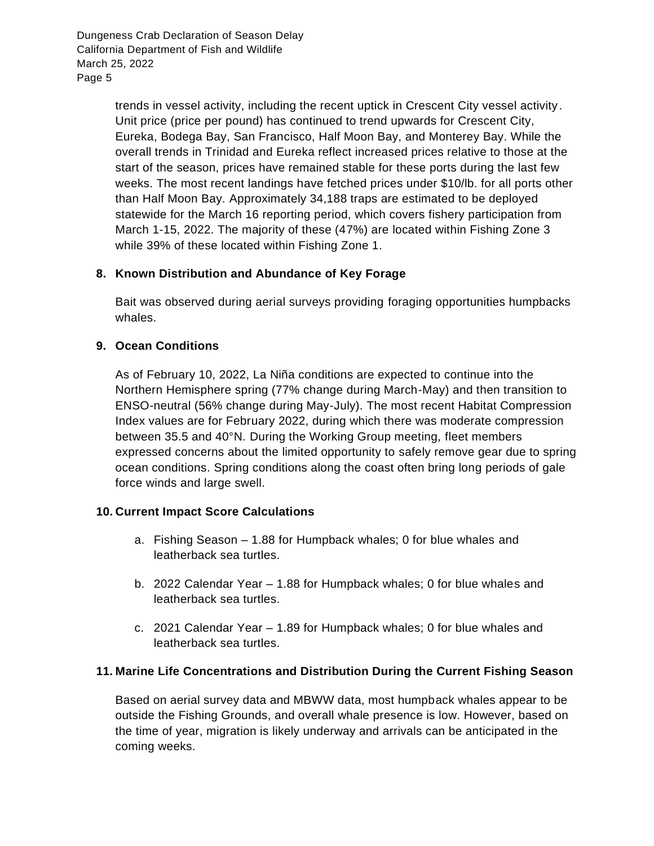> trends in vessel activity, including the recent uptick in Crescent City vessel activity. Unit price (price per pound) has continued to trend upwards for Crescent City, Eureka, Bodega Bay, San Francisco, Half Moon Bay, and Monterey Bay. While the overall trends in Trinidad and Eureka reflect increased prices relative to those at the start of the season, prices have remained stable for these ports during the last few weeks. The most recent landings have fetched prices under \$10/lb. for all ports other than Half Moon Bay. Approximately 34,188 traps are estimated to be deployed statewide for the March 16 reporting period, which covers fishery participation from March 1-15, 2022. The majority of these (47%) are located within Fishing Zone 3 while 39% of these located within Fishing Zone 1.

## **8. Known Distribution and Abundance of Key Forage**

Bait was observed during aerial surveys providing foraging opportunities humpbacks whales.

### **9. Ocean Conditions**

As of February 10, 2022, La Niña conditions are expected to continue into the Northern Hemisphere spring (77% change during March-May) and then transition to ENSO-neutral (56% change during May-July). The most recent Habitat Compression Index values are for February 2022, during which there was moderate compression between 35.5 and 40°N. During the Working Group meeting, fleet members expressed concerns about the limited opportunity to safely remove gear due to spring ocean conditions. Spring conditions along the coast often bring long periods of gale force winds and large swell.

### **10. Current Impact Score Calculations**

- a. Fishing Season 1.88 for Humpback whales; 0 for blue whales and leatherback sea turtles.
- b. 2022 Calendar Year 1.88 for Humpback whales; 0 for blue whales and leatherback sea turtles.
- c. 2021 Calendar Year 1.89 for Humpback whales; 0 for blue whales and leatherback sea turtles.

### **11. Marine Life Concentrations and Distribution During the Current Fishing Season**

Based on aerial survey data and MBWW data, most humpback whales appear to be outside the Fishing Grounds, and overall whale presence is low. However, based on the time of year, migration is likely underway and arrivals can be anticipated in the coming weeks.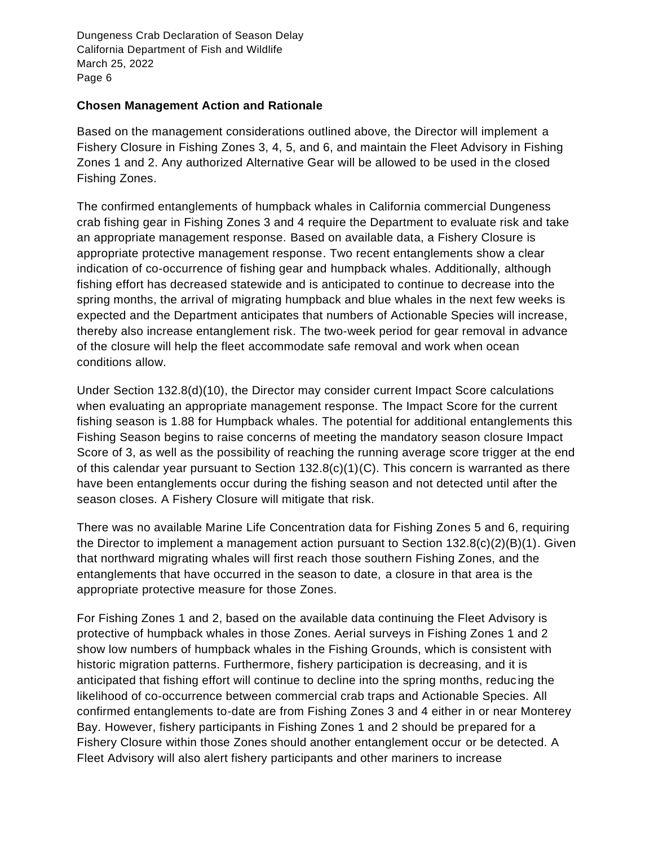### **Chosen Management Action and Rationale**

Based on the management considerations outlined above, the Director will implement a Fishery Closure in Fishing Zones 3, 4, 5, and 6, and maintain the Fleet Advisory in Fishing Zones 1 and 2. Any authorized Alternative Gear will be allowed to be used in the closed Fishing Zones.

The confirmed entanglements of humpback whales in California commercial Dungeness crab fishing gear in Fishing Zones 3 and 4 require the Department to evaluate risk and take an appropriate management response. Based on available data, a Fishery Closure is appropriate protective management response. Two recent entanglements show a clear indication of co-occurrence of fishing gear and humpback whales. Additionally, although fishing effort has decreased statewide and is anticipated to continue to decrease into the spring months, the arrival of migrating humpback and blue whales in the next few weeks is expected and the Department anticipates that numbers of Actionable Species will increase, thereby also increase entanglement risk. The two-week period for gear removal in advance of the closure will help the fleet accommodate safe removal and work when ocean conditions allow.

Under Section 132.8(d)(10), the Director may consider current Impact Score calculations when evaluating an appropriate management response. The Impact Score for the current fishing season is 1.88 for Humpback whales. The potential for additional entanglements this Fishing Season begins to raise concerns of meeting the mandatory season closure Impact Score of 3, as well as the possibility of reaching the running average score trigger at the end of this calendar year pursuant to Section  $132.8(c)(1)(C)$ . This concern is warranted as there have been entanglements occur during the fishing season and not detected until after the season closes. A Fishery Closure will mitigate that risk.

There was no available Marine Life Concentration data for Fishing Zones 5 and 6, requiring the Director to implement a management action pursuant to Section  $132.8(c)(2)(B)(1)$ . Given that northward migrating whales will first reach those southern Fishing Zones, and the entanglements that have occurred in the season to date, a closure in that area is the appropriate protective measure for those Zones.

For Fishing Zones 1 and 2, based on the available data continuing the Fleet Advisory is protective of humpback whales in those Zones. Aerial surveys in Fishing Zones 1 and 2 show low numbers of humpback whales in the Fishing Grounds, which is consistent with historic migration patterns. Furthermore, fishery participation is decreasing, and it is anticipated that fishing effort will continue to decline into the spring months, reduc ing the likelihood of co-occurrence between commercial crab traps and Actionable Species. All confirmed entanglements to-date are from Fishing Zones 3 and 4 either in or near Monterey Bay. However, fishery participants in Fishing Zones 1 and 2 should be prepared for a Fishery Closure within those Zones should another entanglement occur or be detected. A Fleet Advisory will also alert fishery participants and other mariners to increase